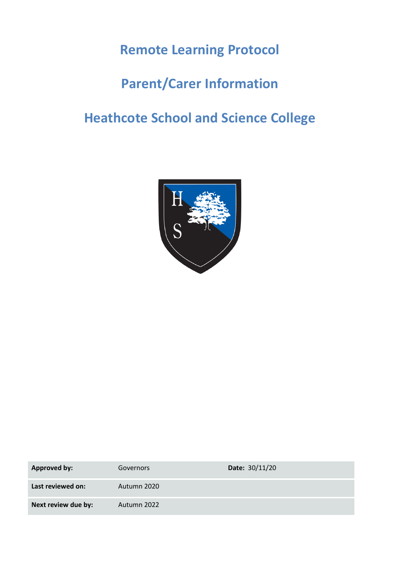## **Remote Learning Protocol**

## **Parent/Carer Information**

# **Heathcote School and Science College**



| <b>Approved by:</b> | Governors   | Date: 30/11/20 |
|---------------------|-------------|----------------|
| Last reviewed on:   | Autumn 2020 |                |
| Next review due by: | Autumn 2022 |                |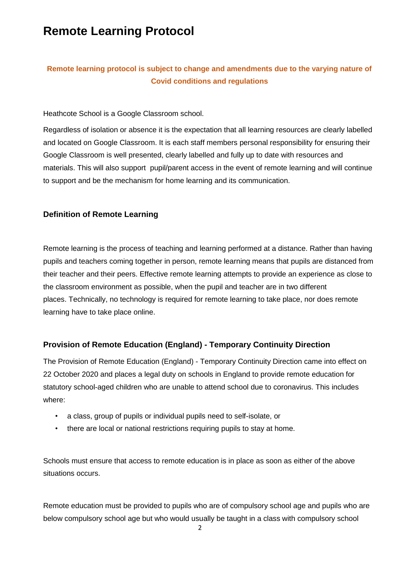## **Remote Learning Protocol**

### **Remote learning protocol is subject to change and amendments due to the varying nature of Covid conditions and regulations**

#### Heathcote School is a Google Classroom school.

Regardless of isolation or absence it is the expectation that all learning resources are clearly labelled and located on Google Classroom. It is each staff members personal responsibility for ensuring their Google Classroom is well presented, clearly labelled and fully up to date with resources and materials. This will also support pupil/parent access in the event of remote learning and will continue to support and be the mechanism for home learning and its communication.

### **Definition of Remote Learning**

Remote learning is the process of teaching and learning performed at a distance. Rather than having pupils and teachers coming together in person, remote learning means that pupils are distanced from their teacher and their peers. Effective remote learning attempts to provide an experience as close to the classroom environment as possible, when the pupil and teacher are in two different places. Technically, no technology is required for remote learning to take place, nor does remote learning have to take place online.

### **Provision of Remote Education (England) - Temporary Continuity Direction**

The Provision of Remote Education (England) - Temporary Continuity Direction came into effect on 22 October 2020 and places a legal duty on schools in England to provide remote education for statutory school-aged children who are unable to attend school due to coronavirus. This includes where:

- a class, group of pupils or individual pupils need to self-isolate, or
- there are local or national restrictions requiring pupils to stay at home.

Schools must ensure that access to remote education is in place as soon as either of the above situations occurs.

Remote education must be provided to pupils who are of compulsory school age and pupils who are below compulsory school age but who would usually be taught in a class with compulsory school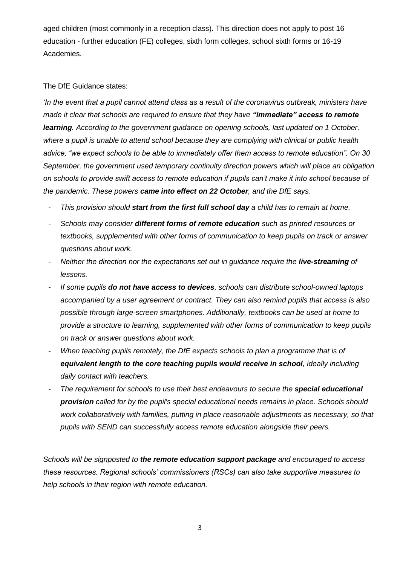aged children (most commonly in a reception class). This direction does not apply to post 16 education - further education (FE) colleges, sixth form colleges, school sixth forms or 16-19 Academies.

#### The DfE Guidance states:

*'In the event that a pupil cannot attend class as a result of the coronavirus outbreak, ministers have made it clear that schools are required to ensure that they have "immediate" access to remote learning. According to the government guidance on opening schools, last updated on 1 October, where a pupil is unable to attend school because they are complying with clinical or public health advice, "we expect schools to be able to immediately offer them access to remote education". On 30 September, the government used temporary continuity direction powers which will place an obligation on schools to provide swift access to remote education if pupils can't make it into school because of the pandemic. These powers came into effect on 22 October, and the DfE says.* 

- *This provision should start from the first full school day a child has to remain at home.*
- *Schools may consider different forms of remote education such as printed resources or textbooks, supplemented with other forms of communication to keep pupils on track or answer questions about work.*
- *Neither the direction nor the expectations set out in guidance require the live-streaming of lessons.*
- *If some pupils do not have access to devices, schools can distribute school-owned laptops accompanied by a user agreement or contract. They can also remind pupils that access is also possible through large-screen smartphones. Additionally, textbooks can be used at home to provide a structure to learning, supplemented with other forms of communication to keep pupils on track or answer questions about work.*
- When teaching pupils remotely, the DfE expects schools to plan a programme that is of *equivalent length to the core teaching pupils would receive in school, ideally including daily contact with teachers.*
- *The requirement for schools to use their best endeavours to secure the special educational provision called for by the pupil's special educational needs remains in place. Schools should work collaboratively with families, putting in place reasonable adjustments as necessary, so that pupils with SEND can successfully access remote education alongside their peers.*

*Schools will be signposted to the remote education support package and encouraged to access these resources. Regional schools' commissioners (RSCs) can also take supportive measures to help schools in their region with remote education.*

3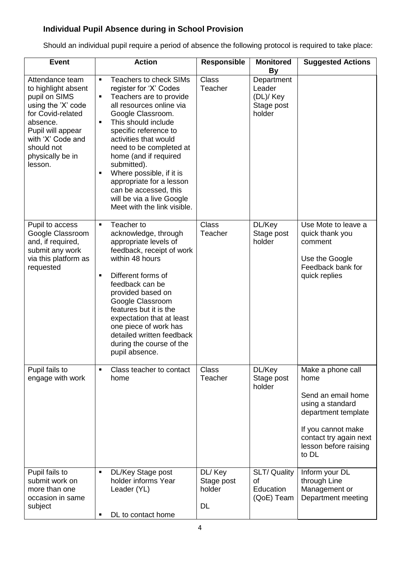### **Individual Pupil Absence during in School Provision**

Should an individual pupil require a period of absence the following protocol is required to take place:

| <b>Event</b>                                                                                                                                                                                          | <b>Action</b>                                                                                                                                                                                                                                                                                                                                                                                                                                    | <b>Responsible</b>                    | <b>Monitored</b><br><b>By</b>                             | <b>Suggested Actions</b>                                                                                                                                                     |
|-------------------------------------------------------------------------------------------------------------------------------------------------------------------------------------------------------|--------------------------------------------------------------------------------------------------------------------------------------------------------------------------------------------------------------------------------------------------------------------------------------------------------------------------------------------------------------------------------------------------------------------------------------------------|---------------------------------------|-----------------------------------------------------------|------------------------------------------------------------------------------------------------------------------------------------------------------------------------------|
| Attendance team<br>to highlight absent<br>pupil on SIMS<br>using the 'X' code<br>for Covid-related<br>absence.<br>Pupil will appear<br>with 'X' Code and<br>should not<br>physically be in<br>lesson. | <b>Teachers to check SIMs</b><br>٠<br>register for 'X' Codes<br>Teachers are to provide<br>٠<br>all resources online via<br>Google Classroom.<br>This should include<br>٠<br>specific reference to<br>activities that would<br>need to be completed at<br>home (and if required<br>submitted).<br>Where possible, if it is<br>٠<br>appropriate for a lesson<br>can be accessed, this<br>will be via a live Google<br>Meet with the link visible. | <b>Class</b><br>Teacher               | Department<br>Leader<br>(DL)/ Key<br>Stage post<br>holder |                                                                                                                                                                              |
| Pupil to access<br>Google Classroom<br>and, if required,<br>submit any work<br>via this platform as<br>requested                                                                                      | Teacher to<br>×,<br>acknowledge, through<br>appropriate levels of<br>feedback, receipt of work<br>within 48 hours<br>Different forms of<br>٠<br>feedback can be<br>provided based on<br>Google Classroom<br>features but it is the<br>expectation that at least<br>one piece of work has<br>detailed written feedback<br>during the course of the<br>pupil absence.                                                                              | <b>Class</b><br>Teacher               | DL/Key<br>Stage post<br>holder                            | Use Mote to leave a<br>quick thank you<br>comment<br>Use the Google<br>Feedback bank for<br>quick replies                                                                    |
| Pupil fails to<br>engage with work                                                                                                                                                                    | Class teacher to contact<br>$\blacksquare$<br>home                                                                                                                                                                                                                                                                                                                                                                                               | <b>Class</b><br>Teacher               | DL/Key<br>Stage post<br>holder                            | Make a phone call<br>home<br>Send an email home<br>using a standard<br>department template<br>If you cannot make<br>contact try again next<br>lesson before raising<br>to DL |
| Pupil fails to<br>submit work on<br>more than one<br>occasion in same<br>subject                                                                                                                      | DL/Key Stage post<br>٠<br>holder informs Year<br>Leader (YL)<br>DL to contact home<br>٠                                                                                                                                                                                                                                                                                                                                                          | DL/ Key<br>Stage post<br>holder<br>DL | SLT/ Quality<br><b>of</b><br>Education<br>(QoE) Team      | Inform your DL<br>through Line<br>Management or<br>Department meeting                                                                                                        |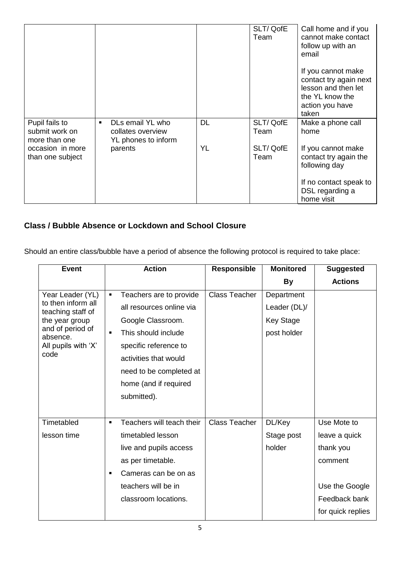|                                                   |                                                                   |           | SLT/QofE<br>Team | Call home and if you<br>cannot make contact<br>follow up with an<br>email                                          |
|---------------------------------------------------|-------------------------------------------------------------------|-----------|------------------|--------------------------------------------------------------------------------------------------------------------|
|                                                   |                                                                   |           |                  | If you cannot make<br>contact try again next<br>lesson and then let<br>the YL know the<br>action you have<br>taken |
| Pupil fails to<br>submit work on<br>more than one | DLs email YL who<br>٠<br>collates overview<br>YL phones to inform | <b>DL</b> | SLT/QofE<br>Team | Make a phone call<br>home                                                                                          |
| occasion in more<br>than one subject              | parents                                                           | YL        | SLT/QofE<br>Team | If you cannot make<br>contact try again the<br>following day                                                       |
|                                                   |                                                                   |           |                  | If no contact speak to<br>DSL regarding a<br>home visit                                                            |

### **Class / Bubble Absence or Lockdown and School Closure**

Should an entire class/bubble have a period of absence the following protocol is required to take place:

| <b>Event</b>                            | <b>Action</b>  |                           | <b>Responsible</b>   | <b>Monitored</b> | <b>Suggested</b>  |
|-----------------------------------------|----------------|---------------------------|----------------------|------------------|-------------------|
|                                         |                |                           |                      | <b>By</b>        | <b>Actions</b>    |
| Year Leader (YL)                        | $\blacksquare$ | Teachers are to provide   | <b>Class Teacher</b> | Department       |                   |
| to then inform all<br>teaching staff of |                | all resources online via  |                      | Leader (DL)/     |                   |
| the year group                          |                | Google Classroom.         |                      | <b>Key Stage</b> |                   |
| and of period of<br>absence.            | $\blacksquare$ | This should include       |                      | post holder      |                   |
| All pupils with 'X'                     |                | specific reference to     |                      |                  |                   |
| code                                    |                | activities that would     |                      |                  |                   |
|                                         |                | need to be completed at   |                      |                  |                   |
|                                         |                | home (and if required     |                      |                  |                   |
|                                         |                | submitted).               |                      |                  |                   |
|                                         |                |                           |                      |                  |                   |
| Timetabled                              | $\blacksquare$ | Teachers will teach their | Class Teacher        | DL/Key           | Use Mote to       |
| lesson time                             |                | timetabled lesson         |                      | Stage post       | leave a quick     |
|                                         |                | live and pupils access    |                      | holder           | thank you         |
|                                         |                | as per timetable.         |                      |                  | comment           |
|                                         | ٠              | Cameras can be on as      |                      |                  |                   |
|                                         |                | teachers will be in       |                      |                  | Use the Google    |
|                                         |                | classroom locations.      |                      |                  | Feedback bank     |
|                                         |                |                           |                      |                  | for quick replies |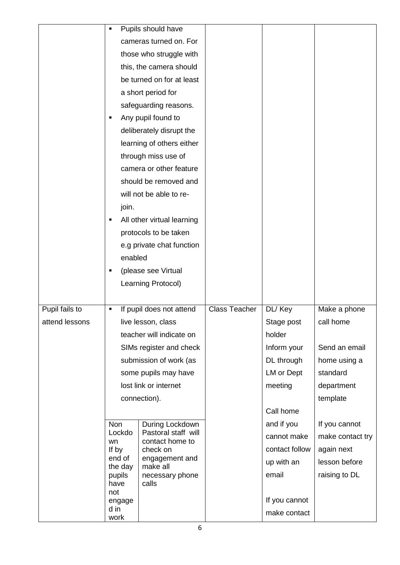|                                                  | $\blacksquare$           | Pupils should have                     |                      |                |                  |
|--------------------------------------------------|--------------------------|----------------------------------------|----------------------|----------------|------------------|
|                                                  |                          | cameras turned on. For                 |                      |                |                  |
|                                                  |                          | those who struggle with                |                      |                |                  |
|                                                  |                          | this, the camera should                |                      |                |                  |
|                                                  |                          | be turned on for at least              |                      |                |                  |
|                                                  |                          | a short period for                     |                      |                |                  |
|                                                  |                          | safeguarding reasons.                  |                      |                |                  |
|                                                  | ٠                        | Any pupil found to                     |                      |                |                  |
|                                                  |                          | deliberately disrupt the               |                      |                |                  |
|                                                  |                          | learning of others either              |                      |                |                  |
|                                                  |                          | through miss use of                    |                      |                |                  |
|                                                  |                          | camera or other feature                |                      |                |                  |
|                                                  |                          | should be removed and                  |                      |                |                  |
|                                                  |                          | will not be able to re-                |                      |                |                  |
|                                                  | join.                    |                                        |                      |                |                  |
|                                                  | ٠                        | All other virtual learning             |                      |                |                  |
|                                                  |                          | protocols to be taken                  |                      |                |                  |
|                                                  |                          | e.g private chat function              |                      |                |                  |
| enabled<br>(please see Virtual<br>$\blacksquare$ |                          |                                        |                      |                |                  |
|                                                  |                          |                                        |                      |                |                  |
|                                                  | Learning Protocol)       |                                        |                      |                |                  |
|                                                  |                          |                                        |                      |                |                  |
| Pupil fails to                                   | If pupil does not attend |                                        | <b>Class Teacher</b> | DL/ Key        | Make a phone     |
| attend lessons                                   |                          | live lesson, class                     |                      | Stage post     | call home        |
|                                                  |                          | teacher will indicate on               |                      | holder         |                  |
|                                                  |                          | SIMs register and check                |                      | Inform your    | Send an email    |
|                                                  |                          | submission of work (as                 |                      | DL through     | home using a     |
|                                                  |                          | some pupils may have                   |                      | LM or Dept     | standard         |
|                                                  |                          | lost link or internet                  |                      | meeting        | department       |
|                                                  | connection).             |                                        |                      |                | template         |
|                                                  |                          |                                        |                      | Call home      |                  |
|                                                  | <b>Non</b>               | During Lockdown                        |                      | and if you     | If you cannot    |
|                                                  | Lockdo<br>wn             | Pastoral staff will<br>contact home to |                      | cannot make    | make contact try |
|                                                  | If by                    | check on                               |                      | contact follow | again next       |
|                                                  | end of<br>the day        | engagement and<br>make all             |                      | up with an     | lesson before    |
|                                                  | pupils                   | necessary phone                        |                      | email          | raising to DL    |
|                                                  | have<br>not              | calls                                  |                      |                |                  |
|                                                  | engage                   |                                        |                      | If you cannot  |                  |
|                                                  | d in<br>work             |                                        |                      | make contact   |                  |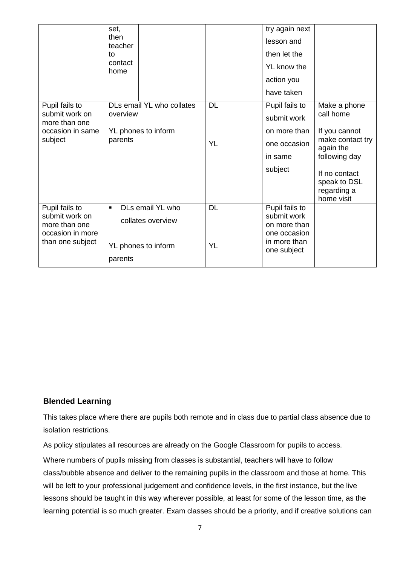|                                                                                           | set,<br>then<br>teacher<br>to<br>contact<br>home                                          |                        | try again next<br>lesson and<br>then let the<br>YL know the<br>action you<br>have taken      |                                                                                                                                                            |
|-------------------------------------------------------------------------------------------|-------------------------------------------------------------------------------------------|------------------------|----------------------------------------------------------------------------------------------|------------------------------------------------------------------------------------------------------------------------------------------------------------|
| Pupil fails to<br>submit work on<br>more than one<br>occasion in same<br>subject          | DLs email YL who collates<br>overview<br>YL phones to inform<br>parents                   | <b>DL</b><br><b>YL</b> | Pupil fails to<br>submit work<br>on more than<br>one occasion<br>in same<br>subject          | Make a phone<br>call home<br>If you cannot<br>make contact try<br>again the<br>following day<br>If no contact<br>speak to DSL<br>regarding a<br>home visit |
| Pupil fails to<br>submit work on<br>more than one<br>occasion in more<br>than one subject | DLs email YL who<br>$\blacksquare$<br>collates overview<br>YL phones to inform<br>parents | <b>DL</b><br><b>YL</b> | Pupil fails to<br>submit work<br>on more than<br>one occasion<br>in more than<br>one subject |                                                                                                                                                            |

### **Blended Learning**

This takes place where there are pupils both remote and in class due to partial class absence due to isolation restrictions.

As policy stipulates all resources are already on the Google Classroom for pupils to access. Where numbers of pupils missing from classes is substantial, teachers will have to follow class/bubble absence and deliver to the remaining pupils in the classroom and those at home. This will be left to your professional judgement and confidence levels, in the first instance, but the live lessons should be taught in this way wherever possible, at least for some of the lesson time, as the learning potential is so much greater. Exam classes should be a priority, and if creative solutions can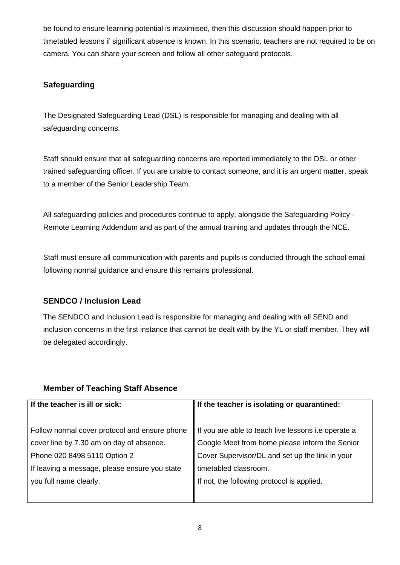be found to ensure learning potential is maximised, then this discussion should happen prior to timetabled lessons if significant absence is known. In this scenario, teachers are not required to be on camera. You can share your screen and follow all other safeguard protocols.

### **Safeguarding**

The Designated Safeguarding Lead (DSL) is responsible for managing and dealing with all safeguarding concerns.

Staff should ensure that all safeguarding concerns are reported immediately to the DSL or other trained safeguarding officer. If you are unable to contact someone, and it is an urgent matter, speak to a member of the Senior Leadership Team.

All safeguarding policies and procedures continue to apply, alongside the Safeguarding Policy - Remote Learning Addendum and as part of the annual training and updates through the NCE.

Staff must ensure all communication with parents and pupils is conducted through the school email following normal guidance and ensure this remains professional.

### **SENDCO / Inclusion Lead**

The SENDCO and Inclusion Lead is responsible for managing and dealing with all SEND and inclusion concerns in the first instance that cannot be dealt with by the YL or staff member. They will be delegated accordingly.

### **Member of Teaching Staff Absence**

| If the teacher is ill or sick:                | If the teacher is isolating or quarantined:         |  |  |
|-----------------------------------------------|-----------------------------------------------------|--|--|
|                                               |                                                     |  |  |
| Follow normal cover protocol and ensure phone | If you are able to teach live lessons i.e operate a |  |  |
| cover line by 7.30 am on day of absence.      | Google Meet from home please inform the Senior      |  |  |
| Phone 020 8498 5110 Option 2                  | Cover Supervisor/DL and set up the link in your     |  |  |
| If leaving a message, please ensure you state | timetabled classroom.                               |  |  |
| you full name clearly.                        | If not, the following protocol is applied.          |  |  |
|                                               |                                                     |  |  |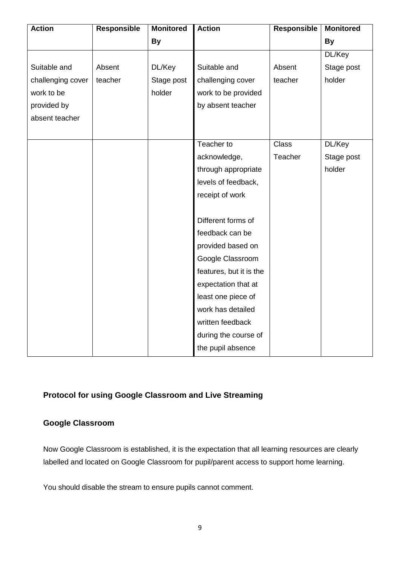| <b>Action</b>     | <b>Responsible</b> | <b>Monitored</b> | <b>Action</b>           | <b>Responsible</b> | <b>Monitored</b> |
|-------------------|--------------------|------------------|-------------------------|--------------------|------------------|
|                   |                    | <b>By</b>        |                         |                    | <b>By</b>        |
|                   |                    |                  |                         |                    | DL/Key           |
| Suitable and      | Absent             | DL/Key           | Suitable and            | Absent             | Stage post       |
| challenging cover | teacher            | Stage post       | challenging cover       | teacher            | holder           |
| work to be        |                    | holder           | work to be provided     |                    |                  |
| provided by       |                    |                  | by absent teacher       |                    |                  |
| absent teacher    |                    |                  |                         |                    |                  |
|                   |                    |                  |                         |                    |                  |
|                   |                    |                  | Teacher to              | <b>Class</b>       | DL/Key           |
|                   |                    |                  | acknowledge,            | Teacher            | Stage post       |
|                   |                    |                  | through appropriate     |                    | holder           |
|                   |                    |                  | levels of feedback,     |                    |                  |
|                   |                    |                  | receipt of work         |                    |                  |
|                   |                    |                  |                         |                    |                  |
|                   |                    |                  | Different forms of      |                    |                  |
|                   |                    |                  | feedback can be         |                    |                  |
|                   |                    |                  | provided based on       |                    |                  |
|                   |                    |                  | Google Classroom        |                    |                  |
|                   |                    |                  | features, but it is the |                    |                  |
|                   |                    |                  | expectation that at     |                    |                  |
|                   |                    |                  | least one piece of      |                    |                  |
|                   |                    |                  | work has detailed       |                    |                  |
|                   |                    |                  | written feedback        |                    |                  |
|                   |                    |                  | during the course of    |                    |                  |
|                   |                    |                  | the pupil absence       |                    |                  |

### **Protocol for using Google Classroom and Live Streaming**

### **Google Classroom**

Now Google Classroom is established, it is the expectation that all learning resources are clearly labelled and located on Google Classroom for pupil/parent access to support home learning.

You should disable the stream to ensure pupils cannot comment.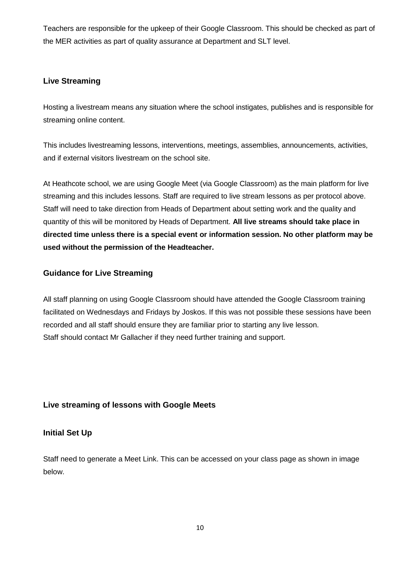Teachers are responsible for the upkeep of their Google Classroom. This should be checked as part of the MER activities as part of quality assurance at Department and SLT level.

### **Live Streaming**

Hosting a livestream means any situation where the school instigates, publishes and is responsible for streaming online content.

This includes livestreaming lessons, interventions, meetings, assemblies, announcements, activities, and if external visitors livestream on the school site.

At Heathcote school, we are using Google Meet (via Google Classroom) as the main platform for live streaming and this includes lessons. Staff are required to live stream lessons as per protocol above. Staff will need to take direction from Heads of Department about setting work and the quality and quantity of this will be monitored by Heads of Department. **All live streams should take place in directed time unless there is a special event or information session. No other platform may be used without the permission of the Headteacher.**

### **Guidance for Live Streaming**

All staff planning on using Google Classroom should have attended the Google Classroom training facilitated on Wednesdays and Fridays by Joskos. If this was not possible these sessions have been recorded and all staff should ensure they are familiar prior to starting any live lesson. Staff should contact Mr Gallacher if they need further training and support.

### **Live streaming of lessons with Google Meets**

### **Initial Set Up**

Staff need to generate a Meet Link. This can be accessed on your class page as shown in image below.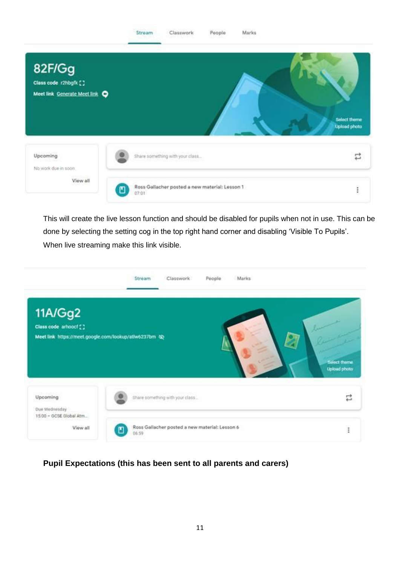

This will create the live lesson function and should be disabled for pupils when not in use. This can be done by selecting the setting cog in the top right hand corner and disabling 'Visible To Pupils'. When live streaming make this link visible.



**Pupil Expectations (this has been sent to all parents and carers)**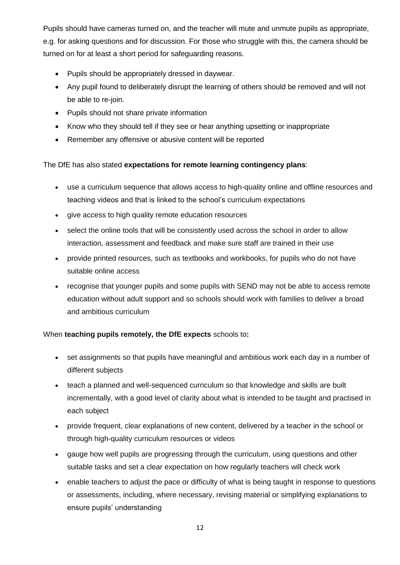Pupils should have cameras turned on, and the teacher will mute and unmute pupils as appropriate, e.g. for asking questions and for discussion. For those who struggle with this, the camera should be turned on for at least a short period for safeguarding reasons.

- Pupils should be appropriately dressed in daywear.
- Any pupil found to deliberately disrupt the learning of others should be removed and will not be able to re-join.
- Pupils should not share private information
- Know who they should tell if they see or hear anything upsetting or inappropriate
- Remember any offensive or abusive content will be reported

#### The DfE has also stated **expectations for remote learning contingency plans**:

- use a curriculum sequence that allows access to high-quality online and offline resources and teaching videos and that is linked to the school's curriculum expectations
- give access to high quality remote education resources
- select the online tools that will be consistently used across the school in order to allow interaction, assessment and feedback and make sure staff are trained in their use
- provide printed resources, such as textbooks and workbooks, for pupils who do not have suitable online access
- recognise that younger pupils and some pupils with SEND may not be able to access remote education without adult support and so schools should work with families to deliver a broad and ambitious curriculum

### When **teaching pupils remotely, the DfE expects** schools to**:**

- set assignments so that pupils have meaningful and ambitious work each day in a number of different subjects
- teach a planned and well-sequenced curriculum so that knowledge and skills are built incrementally, with a good level of clarity about what is intended to be taught and practised in each subject
- provide frequent, clear explanations of new content, delivered by a teacher in the school or through high-quality curriculum resources or videos
- gauge how well pupils are progressing through the curriculum, using questions and other suitable tasks and set a clear expectation on how regularly teachers will check work
- enable teachers to adjust the pace or difficulty of what is being taught in response to questions or assessments, including, where necessary, revising material or simplifying explanations to ensure pupils' understanding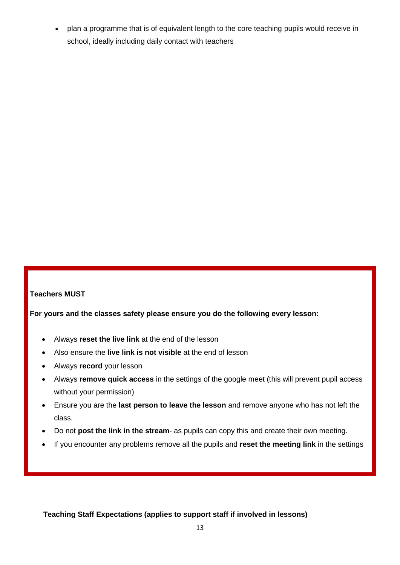plan a programme that is of equivalent length to the core teaching pupils would receive in school, ideally including daily contact with teachers

### **Teachers MUST**

**For yours and the classes safety please ensure you do the following every lesson:**

- Always **reset the live link** at the end of the lesson
- Also ensure the **live link is not visible** at the end of lesson
- Always **record** your lesson
- Always **remove quick access** in the settings of the google meet (this will prevent pupil access without your permission)
- Ensure you are the **last person to leave the lesson** and remove anyone who has not left the class.
- Do not **post the link in the stream** as pupils can copy this and create their own meeting.
- If you encounter any problems remove all the pupils and **reset the meeting link** in the settings

**Teaching Staff Expectations (applies to support staff if involved in lessons)**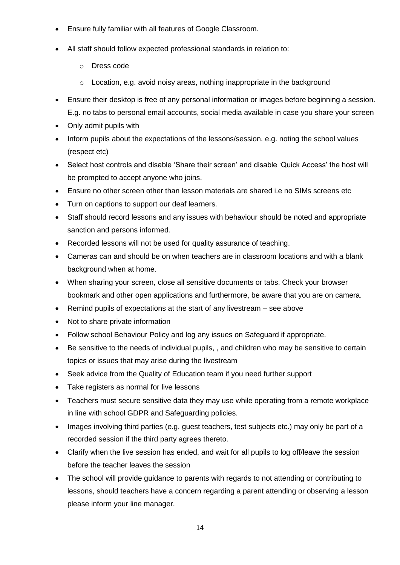- Ensure fully familiar with all features of Google Classroom.
- All staff should follow expected professional standards in relation to:
	- o Dress code
	- o Location, e.g. avoid noisy areas, nothing inappropriate in the background
- Ensure their desktop is free of any personal information or images before beginning a session. E.g. no tabs to personal email accounts, social media available in case you share your screen
- Only admit pupils with
- Inform pupils about the expectations of the lessons/session. e.g. noting the school values (respect etc)
- Select host controls and disable 'Share their screen' and disable 'Quick Access' the host will be prompted to accept anyone who joins.
- Ensure no other screen other than lesson materials are shared i.e no SIMs screens etc
- Turn on captions to support our deaf learners.
- Staff should record lessons and any issues with behaviour should be noted and appropriate sanction and persons informed.
- Recorded lessons will not be used for quality assurance of teaching.
- Cameras can and should be on when teachers are in classroom locations and with a blank background when at home.
- When sharing your screen, close all sensitive documents or tabs. Check your browser bookmark and other open applications and furthermore, be aware that you are on camera.
- Remind pupils of expectations at the start of any livestream see above
- Not to share private information
- Follow school Behaviour Policy and log any issues on Safeguard if appropriate.
- Be sensitive to the needs of individual pupils, , and children who may be sensitive to certain topics or issues that may arise during the livestream
- Seek advice from the Quality of Education team if you need further support
- Take registers as normal for live lessons
- Teachers must secure sensitive data they may use while operating from a remote workplace in line with school GDPR and Safeguarding policies.
- Images involving third parties (e.g. guest teachers, test subjects etc.) may only be part of a recorded session if the third party agrees thereto.
- Clarify when the live session has ended, and wait for all pupils to log off/leave the session before the teacher leaves the session
- The school will provide guidance to parents with regards to not attending or contributing to lessons, should teachers have a concern regarding a parent attending or observing a lesson please inform your line manager.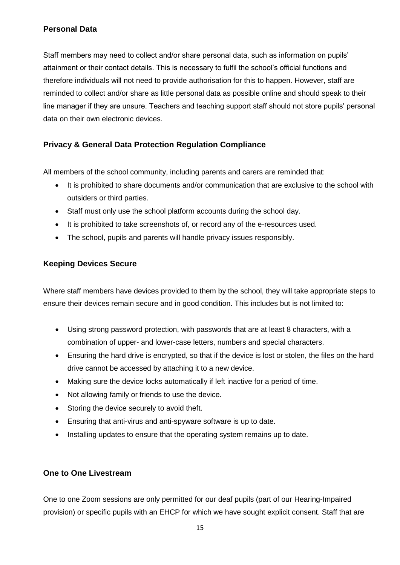### **Personal Data**

Staff members may need to collect and/or share personal data, such as information on pupils' attainment or their contact details. This is necessary to fulfil the school's official functions and therefore individuals will not need to provide authorisation for this to happen. However, staff are reminded to collect and/or share as little personal data as possible online and should speak to their line manager if they are unsure. Teachers and teaching support staff should not store pupils' personal data on their own electronic devices.

### **Privacy & General Data Protection Regulation Compliance**

All members of the school community, including parents and carers are reminded that:

- It is prohibited to share documents and/or communication that are exclusive to the school with outsiders or third parties.
- Staff must only use the school platform accounts during the school day.
- It is prohibited to take screenshots of, or record any of the e-resources used.
- The school, pupils and parents will handle privacy issues responsibly.

### **Keeping Devices Secure**

Where staff members have devices provided to them by the school, they will take appropriate steps to ensure their devices remain secure and in good condition. This includes but is not limited to:

- Using strong password protection, with passwords that are at least 8 characters, with a combination of upper- and lower-case letters, numbers and special characters.
- Ensuring the hard drive is encrypted, so that if the device is lost or stolen, the files on the hard drive cannot be accessed by attaching it to a new device.
- Making sure the device locks automatically if left inactive for a period of time.
- Not allowing family or friends to use the device.
- Storing the device securely to avoid theft.
- Ensuring that anti-virus and anti-spyware software is up to date.
- Installing updates to ensure that the operating system remains up to date.

### **One to One Livestream**

One to one Zoom sessions are only permitted for our deaf pupils (part of our Hearing-Impaired provision) or specific pupils with an EHCP for which we have sought explicit consent. Staff that are